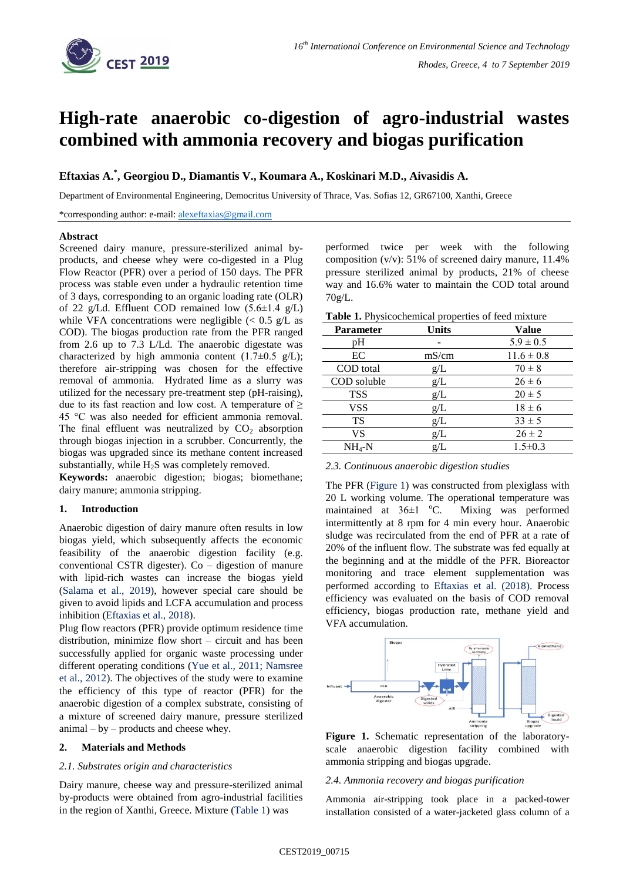

# **High-rate anaerobic co-digestion of agro-industrial wastes combined with ammonia recovery and biogas purification**

## **Eftaxias A.\* , Georgiou D., Diamantis V., Koumara A., Koskinari M.D., Aivasidis A.**

Department of Environmental Engineering, Democritus University of Thrace, Vas. Sofias 12, GR67100, Xanthi, Greece

\*corresponding author: e-mail: [alexeftaxias@gmail.com](mailto:alexeftaxias@gmail.com)

#### **Abstract**

Screened dairy manure, pressure-sterilized animal byproducts, and cheese whey were co-digested in a Plug Flow Reactor (PFR) over a period of 150 days. The PFR process was stable even under a hydraulic retention time of 3 days, corresponding to an organic loading rate (OLR) of 22 g/Ld. Effluent COD remained low  $(5.6\pm1.4 \text{ g/L})$ while VFA concentrations were negligible  $\langle \langle 0.5 \rangle$  g/L as COD). The biogas production rate from the PFR ranged from 2.6 up to 7.3 L/Ld. The anaerobic digestate was characterized by high ammonia content  $(1.7\pm0.5 \text{ g/L});$ therefore air-stripping was chosen for the effective removal of ammonia. Hydrated lime as a slurry was utilized for the necessary pre-treatment step (pH-raising), due to its fast reaction and low cost. A temperature of  $\geq$ 45 °C was also needed for efficient ammonia removal. The final effluent was neutralized by  $CO<sub>2</sub>$  absorption through biogas injection in a scrubber. Concurrently, the biogas was upgraded since its methane content increased substantially, while  $H_2S$  was completely removed.

**Keywords:** anaerobic digestion; biogas; biomethane; dairy manure; ammonia stripping.

## **1. Introduction**

Anaerobic digestion of dairy manure often results in low biogas yield, which subsequently affects the economic feasibility of the anaerobic digestion facility (e.g. conventional CSTR digester). Co  $-$  digestion of manure with lipid-rich wastes can increase the biogas yield (Salama et al., 2019), however special care should be given to avoid lipids and LCFA accumulation and process inhibition (Eftaxias et al., 2018).

Plug flow reactors (PFR) provide optimum residence time distribution, minimize flow short – circuit and has been successfully applied for organic waste processing under different operating conditions (Yue et al., 2011; Namsree et al., 2012). The objectives of the study were to examine the efficiency of this type of reactor (PFR) for the anaerobic digestion of a complex substrate, consisting of a mixture of screened dairy manure, pressure sterilized  $animal - by - products$  and cheese whey.

## **2. Materials and Methods**

#### *2.1. Substrates origin and characteristics*

Dairy manure, cheese way and pressure-sterilized animal by-products were obtained from agro-industrial facilities in the region of Xanthi, Greece. Mixture (Table 1) was

performed twice per week with the following composition (v/v): 51% of screened dairy manure, 11.4% pressure sterilized animal by products, 21% of cheese way and 16.6% water to maintain the COD total around 70g/L.

| Table 1. Physicochemical properties of feed mixture |  |  |  |
|-----------------------------------------------------|--|--|--|
|-----------------------------------------------------|--|--|--|

| <b>Parameter</b> | <b>Units</b> | <b>Value</b>   |
|------------------|--------------|----------------|
| рH               |              | $5.9 \pm 0.5$  |
| EC               | mS/cm        | $11.6 \pm 0.8$ |
| COD total        | g/L          | $70 \pm 8$     |
| COD soluble      | g/L          | $26 \pm 6$     |
| <b>TSS</b>       | g/L          | $20 \pm 5$     |
| <b>VSS</b>       | g/L          | $18 \pm 6$     |
| <b>TS</b>        | g/L          | $33 \pm 5$     |
| VS               | g/L          | $26 \pm 2$     |
| NH4-N            | g/L          | $1.5 \pm 0.3$  |

*2.3. Continuous anaerobic digestion studies*

The PFR (Figure 1) was constructed from plexiglass with 20 L working volume. The operational temperature was maintained at  $36\pm1$  °C. Mixing was performed intermittently at 8 rpm for 4 min every hour. Anaerobic sludge was recirculated from the end of PFR at a rate of 20% of the influent flow. The substrate was fed equally at the beginning and at the middle of the PFR. Bioreactor monitoring and trace element supplementation was performed according to Eftaxias et al. (2018). Process efficiency was evaluated on the basis of COD removal efficiency, biogas production rate, methane yield and VFA accumulation.



**Figure 1.** Schematic representation of the laboratoryscale anaerobic digestion facility combined with ammonia stripping and biogas upgrade.

#### *2.4. Ammonia recovery and biogas purification*

Ammonia air-stripping took place in a packed-tower installation consisted of a water-jacketed glass column of a